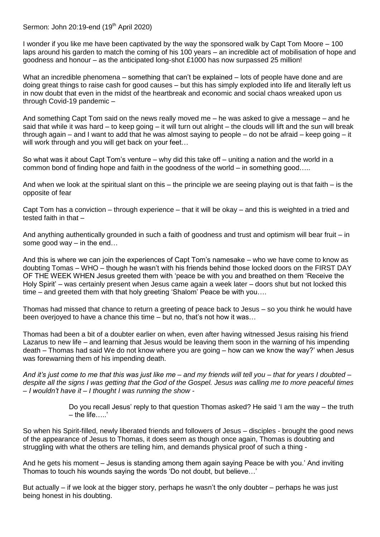Sermon: John 20:19-end (19<sup>th</sup> April 2020)

I wonder if you like me have been captivated by the way the sponsored walk by Capt Tom Moore – 100 laps around his garden to match the coming of his 100 years – an incredible act of mobilisation of hope and goodness and honour – as the anticipated long-shot £1000 has now surpassed 25 million!

What an incredible phenomena – something that can't be explained – lots of people have done and are doing great things to raise cash for good causes – but this has simply exploded into life and literally left us in now doubt that even in the midst of the heartbreak and economic and social chaos wreaked upon us through Covid-19 pandemic –

And something Capt Tom said on the news really moved me – he was asked to give a message – and he said that while it was hard – to keep going – it will turn out alright – the clouds will lift and the sun will break through again – and I want to add that he was almost saying to people – do not be afraid – keep going – it will work through and you will get back on your feet...

So what was it about Capt Tom's venture – why did this take off – uniting a nation and the world in a common bond of finding hope and faith in the goodness of the world – in something good…..

And when we look at the spiritual slant on this – the principle we are seeing playing out is that faith – is the opposite of fear

Capt Tom has a conviction – through experience – that it will be okay – and this is weighted in a tried and tested faith in that –

And anything authentically grounded in such a faith of goodness and trust and optimism will bear fruit – in some good way – in the end…

And this is where we can join the experiences of Capt Tom's namesake – who we have come to know as doubting Tomas – WHO – though he wasn't with his friends behind those locked doors on the FIRST DAY OF THE WEEK WHEN Jesus greeted them with 'peace be with you and breathed on them 'Receive the Holy Spirit' – was certainly present when Jesus came again a week later – doors shut but not locked this time – and greeted them with that holy greeting 'Shalom' Peace be with you….

Thomas had missed that chance to return a greeting of peace back to Jesus – so you think he would have been overjoyed to have a chance this time – but no, that's not how it was…

Thomas had been a bit of a doubter earlier on when, even after having witnessed Jesus raising his friend Lazarus to new life – and learning that Jesus would be leaving them soon in the warning of his impending death – Thomas had said We do not know where you are going – how can we know the way?' when Jesus was forewarning them of his impending death.

*And it's just come to me that this was just like me – and my friends will tell you – that for years I doubted – despite all the signs I was getting that the God of the Gospel. Jesus was calling me to more peaceful times – I wouldn't have it – I thought I was running the show -*

> Do you recall Jesus' reply to that question Thomas asked? He said 'I am the way – the truth – the life…..'

So when his Spirit-filled, newly liberated friends and followers of Jesus – disciples - brought the good news of the appearance of Jesus to Thomas, it does seem as though once again, Thomas is doubting and struggling with what the others are telling him, and demands physical proof of such a thing -

And he gets his moment – Jesus is standing among them again saying Peace be with you.' And inviting Thomas to touch his wounds saying the words 'Do not doubt, but believe…'

But actually – if we look at the bigger story, perhaps he wasn't the only doubter – perhaps he was just being honest in his doubting.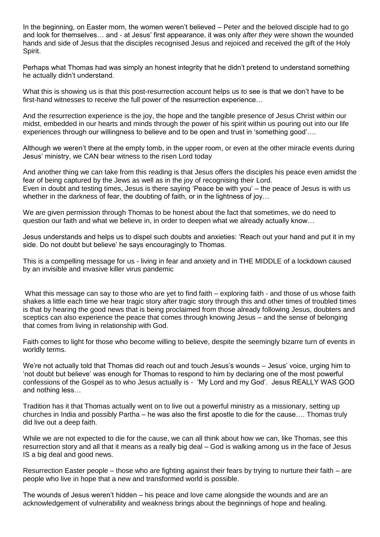In the beginning, on Easter morn, the women weren't believed – Peter and the beloved disciple had to go and look for themselves… and - at Jesus' first appearance, it was only *after they* were shown the wounded hands and side of Jesus that the disciples recognised Jesus and rejoiced and received the gift of the Holy Spirit.

Perhaps what Thomas had was simply an honest integrity that he didn't pretend to understand something he actually didn't understand.

What this is showing us is that this post-resurrection account helps us to see is that we don't have to be first-hand witnesses to receive the full power of the resurrection experience…

And the resurrection experience is the joy, the hope and the tangible presence of Jesus Christ within our midst, embedded in our hearts and minds through the power of his spirit within us pouring out into our life experiences through our willingness to believe and to be open and trust in 'something good'….

Although we weren't there at the empty tomb, in the upper room, or even at the other miracle events during Jesus' ministry, we CAN bear witness to the risen Lord today

And another thing we can take from this reading is that Jesus offers the disciples his peace even amidst the fear of being captured by the Jews as well as in the joy of recognising their Lord. Even in doubt and testing times, Jesus is there saying 'Peace be with you' – the peace of Jesus is with us whether in the darkness of fear, the doubting of faith, or in the lightness of joy...

We are given permission through Thomas to be honest about the fact that sometimes, we do need to question our faith and what we believe in, in order to deepen what we already actually know…

Jesus understands and helps us to dispel such doubts and anxieties: 'Reach out your hand and put it in my side. Do not doubt but believe' he says encouragingly to Thomas.

This is a compelling message for us - living in fear and anxiety and in THE MIDDLE of a lockdown caused by an invisible and invasive killer virus pandemic

What this message can say to those who are yet to find faith – exploring faith - and those of us whose faith shakes a little each time we hear tragic story after tragic story through this and other times of troubled times is that by hearing the good news that is being proclaimed from those already following Jesus, doubters and sceptics can also experience the peace that comes through knowing Jesus – and the sense of belonging that comes from living in relationship with God.

Faith comes to light for those who become willing to believe, despite the seemingly bizarre turn of events in worldly terms.

We're not actually told that Thomas did reach out and touch Jesus's wounds – Jesus' voice, urging him to 'not doubt but believe' was enough for Thomas to respond to him by declaring one of the most powerful confessions of the Gospel as to who Jesus actually is - 'My Lord and my God'. Jesus REALLY WAS GOD and nothing less…

Tradition has it that Thomas actually went on to live out a powerful ministry as a missionary, setting up churches in India and possibly Partha – he was also the first apostle to die for the cause…. Thomas truly did live out a deep faith.

While we are not expected to die for the cause, we can all think about how we can, like Thomas, see this resurrection story and all that it means as a really big deal – God is walking among us in the face of Jesus IS a big deal and good news.

Resurrection Easter people – those who are fighting against their fears by trying to nurture their faith – are people who live in hope that a new and transformed world is possible.

The wounds of Jesus weren't hidden – his peace and love came alongside the wounds and are an acknowledgement of vulnerability and weakness brings about the beginnings of hope and healing.